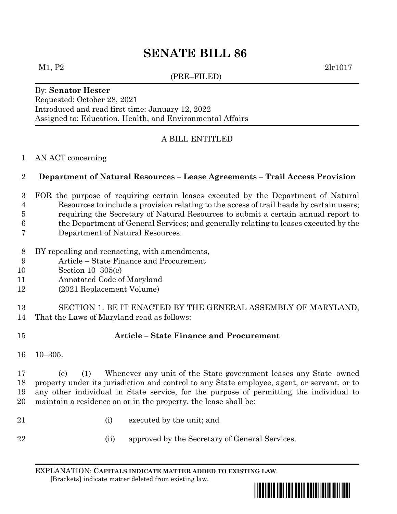# **SENATE BILL 86**

(PRE–FILED)

 $M1, P2$  2lr1017

## By: **Senator Hester** Requested: October 28, 2021 Introduced and read first time: January 12, 2022 Assigned to: Education, Health, and Environmental Affairs

# A BILL ENTITLED

#### AN ACT concerning

## **Department of Natural Resources – Lease Agreements – Trail Access Provision**

- FOR the purpose of requiring certain leases executed by the Department of Natural Resources to include a provision relating to the access of trail heads by certain users;
- requiring the Secretary of Natural Resources to submit a certain annual report to
- the Department of General Services; and generally relating to leases executed by the
- Department of Natural Resources.
- BY repealing and reenacting, with amendments,
- Article State Finance and Procurement
- Section 10–305(e)
- Annotated Code of Maryland
- (2021 Replacement Volume)

 SECTION 1. BE IT ENACTED BY THE GENERAL ASSEMBLY OF MARYLAND, That the Laws of Maryland read as follows:

# **Article – State Finance and Procurement**

10–305.

 (e) (1) Whenever any unit of the State government leases any State–owned property under its jurisdiction and control to any State employee, agent, or servant, or to any other individual in State service, for the purpose of permitting the individual to maintain a residence on or in the property, the lease shall be:

- (i) executed by the unit; and
- 
- (ii) approved by the Secretary of General Services.